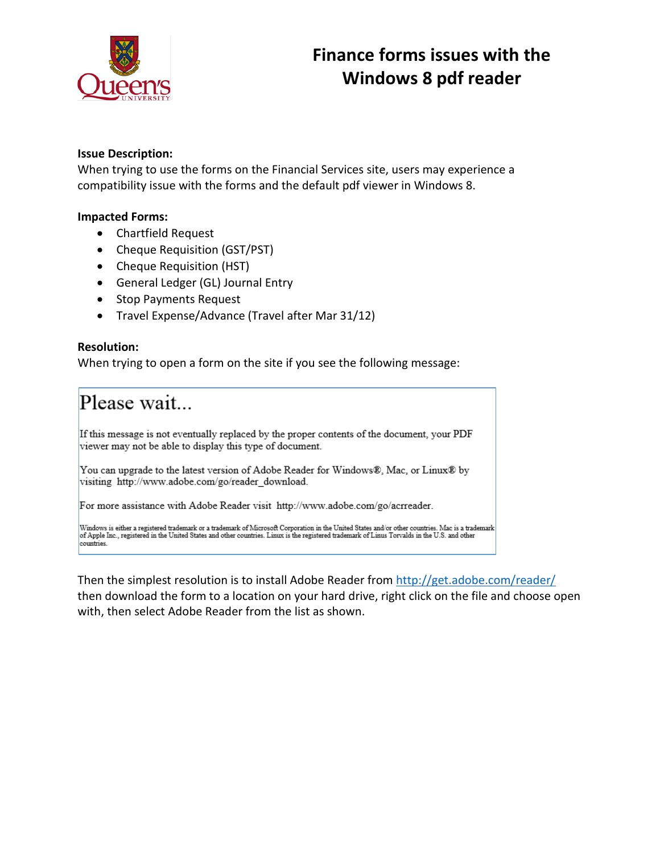

## **Issue Description:**

 When trying to use the forms on the Financial Services site, users may experience a compatibility issue with the forms and the default pdf viewer in Windows 8.

## **Impacted Forms:**

- Chartfield Request
- Cheque Requisition (GST/PST)
- Cheque Requisition (HST)
- General Ledger (GL) Journal Entry
- Stop Payments Request
- Travel Expense/Advance (Travel after Mar 31/12)

## **Resolution:**

When trying to open a form on the site if you see the following message:

## Please wait...

If this message is not eventually replaced by the proper contents of the document, your PDF viewer may not be able to display this type of document.

You can upgrade to the latest version of Adobe Reader for Windows®, Mac, or Linux® by visiting http://www.adobe.com/go/reader\_download.

For more assistance with Adobe Reader visit http://www.adobe.com/go/acrreader.

Windows is either a registered trademark or a trademark of Microsoft Corporation in the United States and/or other countries. Mac is a trademark<br>of Apple Inc., registered in the United States and other countries. Linux is countries.

 with, then select Adobe Reader from the list as shown. Then the simplest resolution is to install Adobe Reader from<http://get.adobe.com/reader/> then download the form to a location on your hard drive, right click on the file and choose open